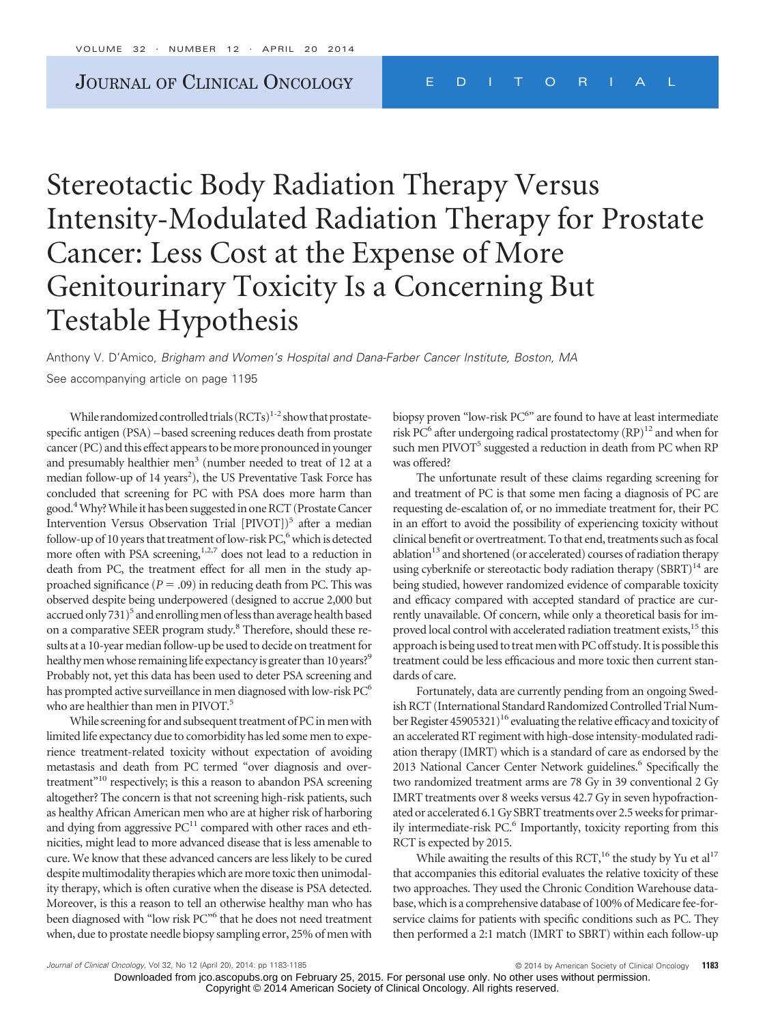# Stereotactic Body Radiation Therapy Versus Intensity-Modulated Radiation Therapy for Prostate Cancer: Less Cost at the Expense of More Genitourinary Toxicity Is a Concerning But Testable Hypothesis

Anthony V. D'Amico, *Brigham and Women's Hospital and Dana-Farber Cancer Institute, Boston, MA* See accompanying article on page 1195

While randomized controlled trials  $(RCTs)^{1-2}$  show that prostatespecific antigen (PSA) –based screening reduces death from prostate cancer (PC) and this effect appears to be more pronounced in younger and presumably healthier men<sup>3</sup> (number needed to treat of 12 at a median follow-up of 14 years<sup>2</sup>), the US Preventative Task Force has concluded that screening for PC with PSA does more harm than good.4Why?While it has been suggested in one RCT (Prostate Cancer Intervention Versus Observation Trial [PIVOT])<sup>5</sup> after a median follow-up of 10 years that treatment of low-risk PC,<sup>6</sup> which is detected more often with PSA screening,<sup>1,2,7</sup> does not lead to a reduction in death from PC, the treatment effect for all men in the study approached significance  $(P = .09)$  in reducing death from PC. This was observed despite being underpowered (designed to accrue 2,000 but accrued only 731)<sup>5</sup> and enrolling men of less than average health based on a comparative SEER program study.<sup>8</sup> Therefore, should these results at a 10-year median follow-up be used to decide on treatment for healthy men whose remaining life expectancy is greater than 10 years?<sup>9</sup> Probably not, yet this data has been used to deter PSA screening and has prompted active surveillance in men diagnosed with low-risk PC<sup>6</sup> who are healthier than men in PIVOT.<sup>5</sup>

While screening for and subsequent treatment of PC in men with limited life expectancy due to comorbidity has led some men to experience treatment-related toxicity without expectation of avoiding metastasis and death from PC termed "over diagnosis and overtreatment"<sup>10</sup> respectively; is this a reason to abandon PSA screening altogether? The concern is that not screening high-risk patients, such as healthy African American men who are at higher risk of harboring and dying from aggressive  $PC^{11}$  compared with other races and ethnicities, might lead to more advanced disease that is less amenable to cure. We know that these advanced cancers are less likely to be cured despite multimodality therapies which are more toxic then unimodality therapy, which is often curative when the disease is PSA detected. Moreover, is this a reason to tell an otherwise healthy man who has been diagnosed with "low risk PC"<sup>6</sup> that he does not need treatment when, due to prostate needle biopsy sampling error, 25% of men with

biopsy proven "low-risk PC<sup>6</sup>" are found to have at least intermediate risk PC $^6$  after undergoing radical prostatectomy (RP)<sup>12</sup> and when for such men PIVOT<sup>5</sup> suggested a reduction in death from PC when RP was offered?

The unfortunate result of these claims regarding screening for and treatment of PC is that some men facing a diagnosis of PC are requesting de-escalation of, or no immediate treatment for, their PC in an effort to avoid the possibility of experiencing toxicity without clinical benefit or overtreatment. To that end, treatments such as focal ablation<sup>13</sup> and shortened (or accelerated) courses of radiation therapy using cyberknife or stereotactic body radiation therapy  $(SBRT)^{14}$  are being studied, however randomized evidence of comparable toxicity and efficacy compared with accepted standard of practice are currently unavailable. Of concern, while only a theoretical basis for improved local control with accelerated radiation treatment exists,<sup>15</sup> this approach is being used to treat men with PC off study. It is possible this treatment could be less efficacious and more toxic then current standards of care.

Fortunately, data are currently pending from an ongoing Swedish RCT (International Standard Randomized Controlled Trial Number Register 45905321)<sup>16</sup> evaluating the relative efficacy and toxicity of an accelerated RT regiment with high-dose intensity-modulated radiation therapy (IMRT) which is a standard of care as endorsed by the 2013 National Cancer Center Network guidelines.<sup>6</sup> Specifically the two randomized treatment arms are 78 Gy in 39 conventional 2 Gy IMRT treatments over 8 weeks versus 42.7 Gy in seven hypofractionated or accelerated 6.1 Gy SBRT treatments over 2.5 weeks for primarily intermediate-risk PC.<sup>6</sup> Importantly, toxicity reporting from this RCT is expected by 2015.

While awaiting the results of this RCT,<sup>16</sup> the study by Yu et al<sup>17</sup> that accompanies this editorial evaluates the relative toxicity of these two approaches. They used the Chronic Condition Warehouse database, which is a comprehensive database of 100% of Medicare fee-forservice claims for patients with specific conditions such as PC. They then performed a 2:1 match (IMRT to SBRT) within each follow-up

*Journal of Clinical Oncology, Vol 32, No 12 (April 20), 2014: pp 1183-1185* **Contained By American Society of Clinical Oncology 1183** 

Downloaded from jco.ascopubs.org on February 25, 2015. For personal use only. No other uses without permission. Copyright © 2014 American Society of Clinical Oncology. All rights reserved.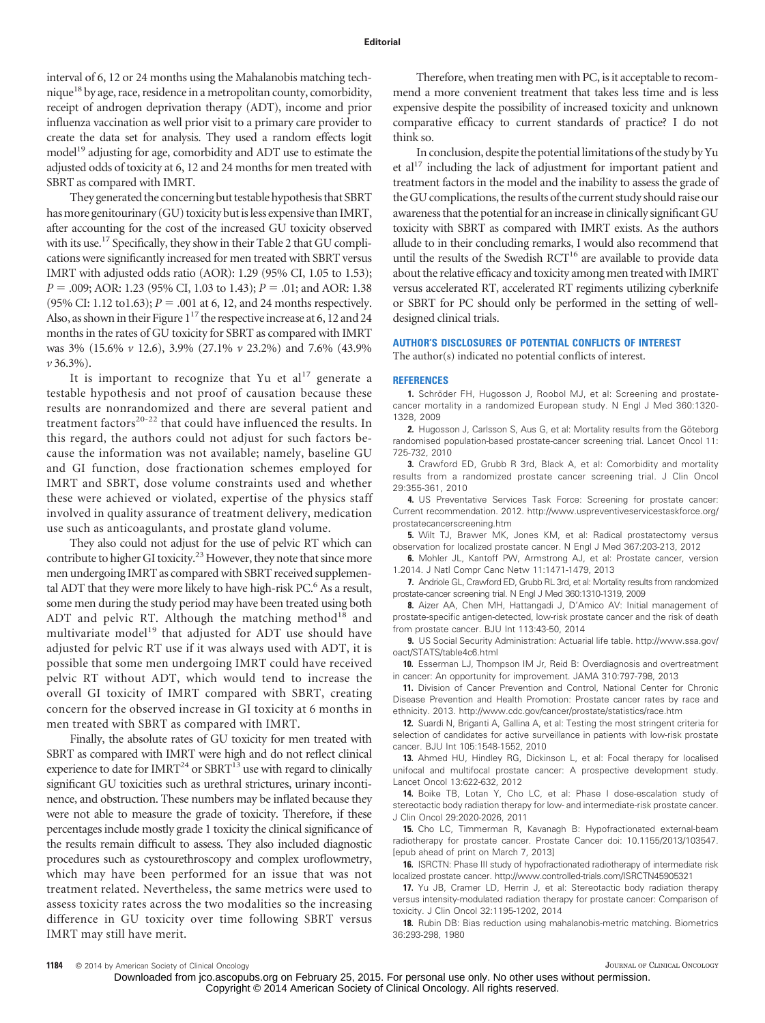interval of 6, 12 or 24 months using the Mahalanobis matching technique18 by age, race, residence in a metropolitan county, comorbidity, receipt of androgen deprivation therapy (ADT), income and prior influenza vaccination as well prior visit to a primary care provider to create the data set for analysis. They used a random effects logit model<sup>19</sup> adjusting for age, comorbidity and ADT use to estimate the adjusted odds of toxicity at 6, 12 and 24 months for men treated with SBRT as compared with IMRT.

They generated the concerning but testable hypothesis that SBRT has more genitourinary (GU) toxicity but is less expensive than IMRT, after accounting for the cost of the increased GU toxicity observed with its use.<sup>17</sup> Specifically, they show in their Table 2 that GU complications were significantly increased for men treated with SBRT versus IMRT with adjusted odds ratio (AOR): 1.29 (95% CI, 1.05 to 1.53); *P* = .009; AOR: 1.23 (95% CI, 1.03 to 1.43); *P* = .01; and AOR: 1.38  $(95\% \text{ CI: } 1.12 \text{ to } 1.63); P = .001 \text{ at } 6, 12, \text{ and } 24 \text{ months respectively.}$ Also, as shown in their Figure  $1^{17}$  the respective increase at 6, 12 and 24 months in the rates of GU toxicity for SBRT as compared with IMRT was 3% (15.6% *v* 12.6), 3.9% (27.1% *v* 23.2%) and 7.6% (43.9% *v* 36.3%).

It is important to recognize that Yu et  $al<sup>17</sup>$  generate a testable hypothesis and not proof of causation because these results are nonrandomized and there are several patient and treatment factors<sup>20-22</sup> that could have influenced the results. In this regard, the authors could not adjust for such factors because the information was not available; namely, baseline GU and GI function, dose fractionation schemes employed for IMRT and SBRT, dose volume constraints used and whether these were achieved or violated, expertise of the physics staff involved in quality assurance of treatment delivery, medication use such as anticoagulants, and prostate gland volume.

They also could not adjust for the use of pelvic RT which can contribute to higher GI toxicity.<sup>23</sup> However, they note that since more men undergoing IMRT as compared with SBRT received supplemental ADT that they were more likely to have high-risk PC.<sup>6</sup> As a result, some men during the study period may have been treated using both ADT and pelvic RT. Although the matching method<sup>18</sup> and multivariate model<sup>19</sup> that adjusted for ADT use should have adjusted for pelvic RT use if it was always used with ADT, it is possible that some men undergoing IMRT could have received pelvic RT without ADT, which would tend to increase the overall GI toxicity of IMRT compared with SBRT, creating concern for the observed increase in GI toxicity at 6 months in men treated with SBRT as compared with IMRT.

Finally, the absolute rates of GU toxicity for men treated with SBRT as compared with IMRT were high and do not reflect clinical experience to date for  $IMRT^{24}$  or  $SBRT^{13}$  use with regard to clinically significant GU toxicities such as urethral strictures, urinary incontinence, and obstruction. These numbers may be inflated because they were not able to measure the grade of toxicity. Therefore, if these percentages include mostly grade 1 toxicity the clinical significance of the results remain difficult to assess. They also included diagnostic procedures such as cystourethroscopy and complex uroflowmetry, which may have been performed for an issue that was not treatment related. Nevertheless, the same metrics were used to assess toxicity rates across the two modalities so the increasing difference in GU toxicity over time following SBRT versus IMRT may still have merit.

Therefore, when treating men with PC, is it acceptable to recommend a more convenient treatment that takes less time and is less expensive despite the possibility of increased toxicity and unknown comparative efficacy to current standards of practice? I do not think so.

In conclusion, despite the potential limitations of the study by Yu et al $17$  including the lack of adjustment for important patient and treatment factors in the model and the inability to assess the grade of the GU complications, the results of the current study should raise our awareness that the potential for an increase in clinically significant GU toxicity with SBRT as compared with IMRT exists. As the authors allude to in their concluding remarks, I would also recommend that until the results of the Swedish RCT<sup>16</sup> are available to provide data about the relative efficacy and toxicity among men treated with IMRT versus accelerated RT, accelerated RT regiments utilizing cyberknife or SBRT for PC should only be performed in the setting of welldesigned clinical trials.

#### **AUTHOR'S DISCLOSURES OF POTENTIAL CONFLICTS OF INTEREST**

### The author(s) indicated no potential conflicts of interest.

#### **REFERENCES**

1. Schröder FH, Hugosson J, Roobol MJ, et al: Screening and prostatecancer mortality in a randomized European study. N Engl J Med 360:1320- 1328, 2009

**2.** Hugosson J, Carlsson S, Aus G, et al: Mortality results from the Göteborg randomised population-based prostate-cancer screening trial. Lancet Oncol 11: 725-732, 2010

**3.** Crawford ED, Grubb R 3rd, Black A, et al: Comorbidity and mortality results from a randomized prostate cancer screening trial. J Clin Oncol 29:355-361, 2010

**4.** US Preventative Services Task Force: Screening for prostate cancer: Current recommendation. 2012. [http://www.uspreventiveservicestaskforce.org/](http://www.uspreventiveservicestaskforce.org/prostatecancerscreening.htm) [prostatecancerscreening.htm](http://www.uspreventiveservicestaskforce.org/prostatecancerscreening.htm)

**5.** Wilt TJ, Brawer MK, Jones KM, et al: Radical prostatectomy versus observation for localized prostate cancer. N Engl J Med 367:203-213, 2012

**6.** Mohler JL, Kantoff PW, Armstrong AJ, et al: Prostate cancer, version 1.2014. J Natl Compr Canc Netw 11:1471-1479, 2013

**7.** Andriole GL, Crawford ED, Grubb RL 3rd, et al: Mortality results from randomized prostate-cancer screening trial. N Engl J Med 360:1310-1319, 2009

**8.** Aizer AA, Chen MH, Hattangadi J, D'Amico AV: Initial management of prostate-specific antigen-detected, low-risk prostate cancer and the risk of death from prostate cancer. BJU Int 113:43-50, 2014

**9.** US Social Security Administration: Actuarial life table. [http://www.ssa.gov/](http://www.ssa.gov/oact/STATS/table4c6.html) [oact/STATS/table4c6.html](http://www.ssa.gov/oact/STATS/table4c6.html)

**10.** Esserman LJ, Thompson IM Jr, Reid B: Overdiagnosis and overtreatment in cancer: An opportunity for improvement. JAMA 310:797-798, 2013

**11.** Division of Cancer Prevention and Control, National Center for Chronic Disease Prevention and Health Promotion: Prostate cancer rates by race and ethnicity. 2013.<http://www.cdc.gov/cancer/prostate/statistics/race.htm>

**12.** Suardi N, Briganti A, Gallina A, et al: Testing the most stringent criteria for selection of candidates for active surveillance in patients with low-risk prostate cancer. BJU Int 105:1548-1552, 2010

**13.** Ahmed HU, Hindley RG, Dickinson L, et al: Focal therapy for localised unifocal and multifocal prostate cancer: A prospective development study. Lancet Oncol 13:622-632, 2012

**14.** Boike TB, Lotan Y, Cho LC, et al: Phase I dose-escalation study of stereotactic body radiation therapy for low- and intermediate-risk prostate cancer. J Clin Oncol 29:2020-2026, 2011

**15.** Cho LC, Timmerman R, Kavanagh B: Hypofractionated external-beam radiotherapy for prostate cancer. Prostate Cancer doi: 10.1155/2013/103547. [epub ahead of print on March 7, 2013]

**16.** ISRCTN: Phase III study of hypofractionated radiotherapy of intermediate risk localized prostate cancer.<http://www.controlled-trials.com/ISRCTN45905321>

**17.** Yu JB, Cramer LD, Herrin J, et al: Stereotactic body radiation therapy versus intensity-modulated radiation therapy for prostate cancer: Comparison of toxicity. J Clin Oncol 32:1195-1202, 2014

**18.** Rubin DB: Bias reduction using mahalanobis-metric matching. Biometrics 36:293-298, 1980